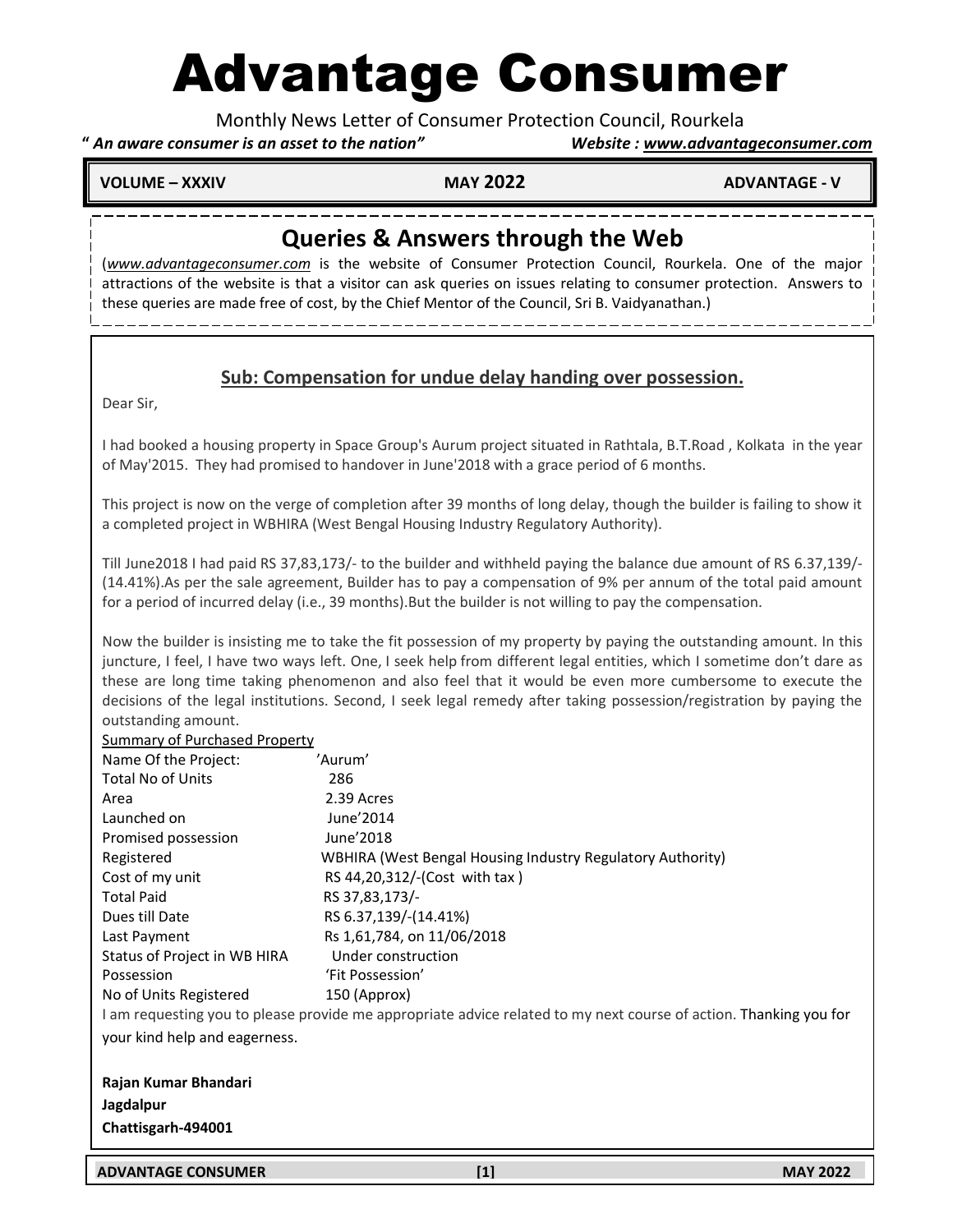# Advantage Consumer

Monthly News Letter of Consumer Protection Council, Rourkela

### **"** *An aware consumer is an asset to the nation" Website : www.advantageconsumer.com*

**VOLUME – XXXIV MAY 2022 ADVANTAGE - V** 

j

# **Queries & Answers through the Web**

(*www.advantageconsumer.com* is the website of Consumer Protection Council, Rourkela. One of the major attractions of the website is that a visitor can ask queries on issues relating to consumer protection. Answers to these queries are made free of cost, by the Chief Mentor of the Council, Sri B. Vaidyanathan.)

## **Sub: Compensation for undue delay handing over possession.**

Dear Sir,

I had booked a housing property in Space Group's Aurum project situated in Rathtala, B.T.Road , Kolkata in the year of May'2015. They had promised to handover in June'2018 with a grace period of 6 months.

This project is now on the verge of completion after 39 months of long delay, though the builder is failing to show it a completed project in WBHIRA (West Bengal Housing Industry Regulatory Authority).

Till June2018 I had paid RS 37,83,173/- to the builder and withheld paying the balance due amount of RS 6.37,139/- (14.41%).As per the sale agreement, Builder has to pay a compensation of 9% per annum of the total paid amount for a period of incurred delay (i.e., 39 months).But the builder is not willing to pay the compensation.

Now the builder is insisting me to take the fit possession of my property by paying the outstanding amount. In this juncture, I feel, I have two ways left. One, I seek help from different legal entities, which I sometime don't dare as these are long time taking phenomenon and also feel that it would be even more cumbersome to execute the decisions of the legal institutions. Second, I seek legal remedy after taking possession/registration by paying the outstanding amount.

| Summary of Purchased Property                                                                                     |                                                            |
|-------------------------------------------------------------------------------------------------------------------|------------------------------------------------------------|
| Name Of the Project:                                                                                              | 'Aurum'                                                    |
| <b>Total No of Units</b>                                                                                          | 286                                                        |
| Area                                                                                                              | 2.39 Acres                                                 |
| Launched on                                                                                                       | June'2014                                                  |
| Promised possession                                                                                               | June'2018                                                  |
| Registered                                                                                                        | WBHIRA (West Bengal Housing Industry Regulatory Authority) |
| Cost of my unit                                                                                                   | RS 44,20,312/-(Cost with tax)                              |
| <b>Total Paid</b>                                                                                                 | RS 37,83,173/-                                             |
| Dues till Date                                                                                                    | RS 6.37,139/-(14.41%)                                      |
| Last Payment                                                                                                      | Rs 1,61,784, on 11/06/2018                                 |
| Status of Project in WB HIRA                                                                                      | Under construction                                         |
| Possession                                                                                                        | 'Fit Possession'                                           |
| No of Units Registered                                                                                            | 150 (Approx)                                               |
| I am requesting you to please provide me appropriate advice related to my next course of action. Thanking you for |                                                            |
| your kind help and eagerness.                                                                                     |                                                            |
| Rajan Kumar Bhandari                                                                                              |                                                            |
| Jagdalpur                                                                                                         |                                                            |
| Chattisgarh-494001                                                                                                |                                                            |
|                                                                                                                   |                                                            |

**ADVANTAGE CONSUMER [1] MAY 2022**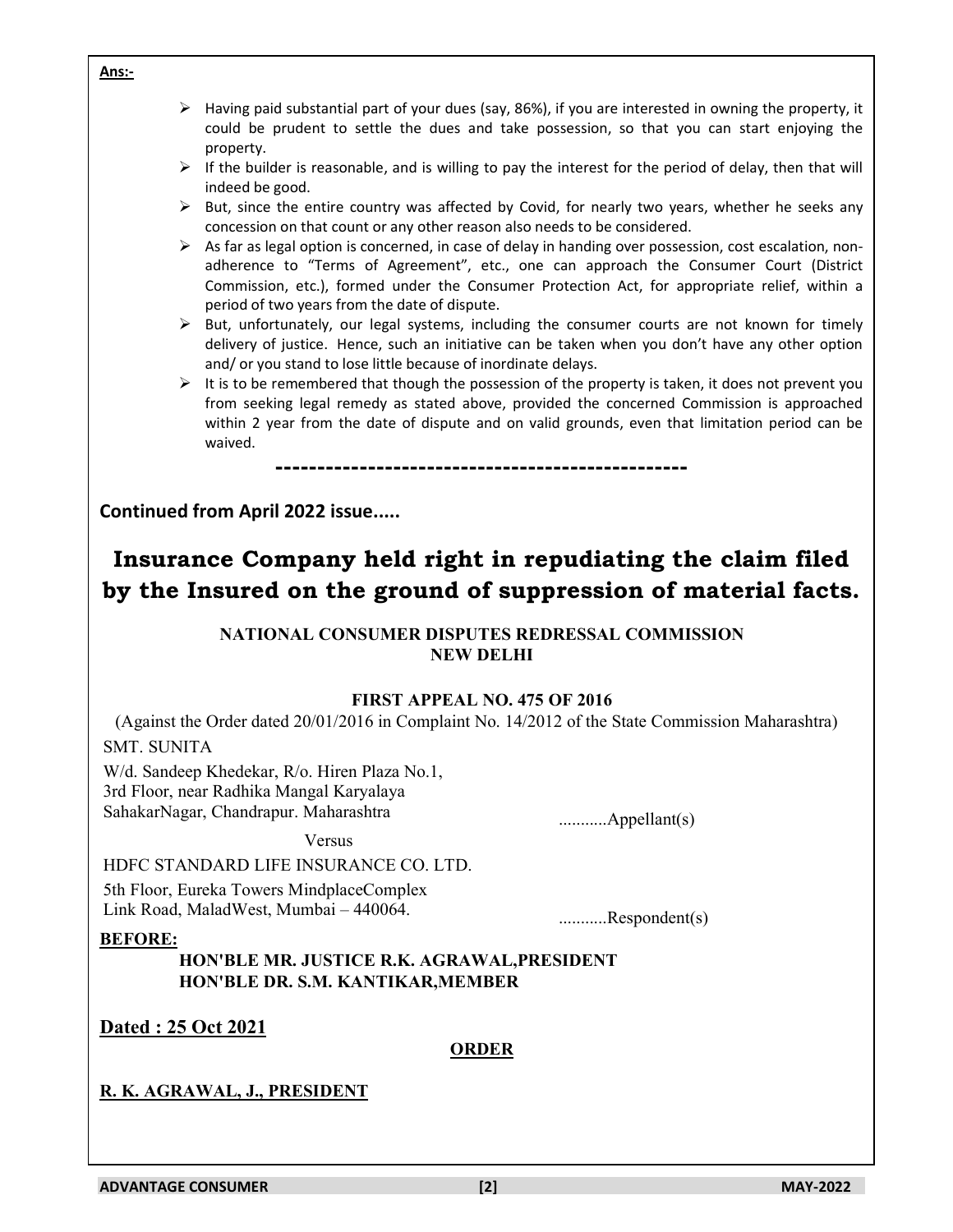period of two years from the date of dispute. and/ or you stand to lose little because of inordinate delays. waived. **------------------------------------------------- Continued from April 2022 issue..... NATIONAL CONSUMER DISPUTES REDRESSAL COMMISSION NEW DELHI FIRST APPEAL NO. 475 OF 2016** SMT. SUNITA W/d. Sandeep Khedekar, R/o. Hiren Plaza No.1, 3rd Floor, near Radhika Mangal Karyalaya SahakarNagar, Chandrapur. Maharashtra ...........Appellant(s) Versus HDFC STANDARD LIFE INSURANCE CO. LTD. 5th Floor, Eureka Towers MindplaceComplex Link Road, MaladWest, Mumbai – 440064. ...........Respondent(s) **BEFORE: HON'BLE MR. JUSTICE R.K. AGRAWAL,PRESIDENT HON'BLE DR. S.M. KANTIKAR,MEMBER Dated : 25 Oct 2021 ORDER R. K. AGRAWAL, J., PRESIDENT ADVANTAGE CONSUMER [2] MAY-2022**

### $\triangleright$  Having paid substantial part of your dues (say, 86%), if you are interested in owning the property, it could be prudent to settle the dues and take possession, so that you can start enjoying the property.

- $\triangleright$  If the builder is reasonable, and is willing to pay the interest for the period of delay, then that will indeed be good.
- $\triangleright$  But, since the entire country was affected by Covid, for nearly two years, whether he seeks any concession on that count or any other reason also needs to be considered.
- $\triangleright$  As far as legal option is concerned, in case of delay in handing over possession, cost escalation, nonadherence to "Terms of Agreement", etc., one can approach the Consumer Court (District Commission, etc.), formed under the Consumer Protection Act, for appropriate relief, within a
- $\triangleright$  But, unfortunately, our legal systems, including the consumer courts are not known for timely delivery of justice. Hence, such an initiative can be taken when you don't have any other option
- $\triangleright$  It is to be remembered that though the possession of the property is taken, it does not prevent you from seeking legal remedy as stated above, provided the concerned Commission is approached within 2 year from the date of dispute and on valid grounds, even that limitation period can be

# **Insurance Company held right in repudiating the claim filed by the Insured on the ground of suppression of material facts.**

(Against the Order dated 20/01/2016 in Complaint No. 14/2012 of the State Commission Maharashtra)

**Ans:-**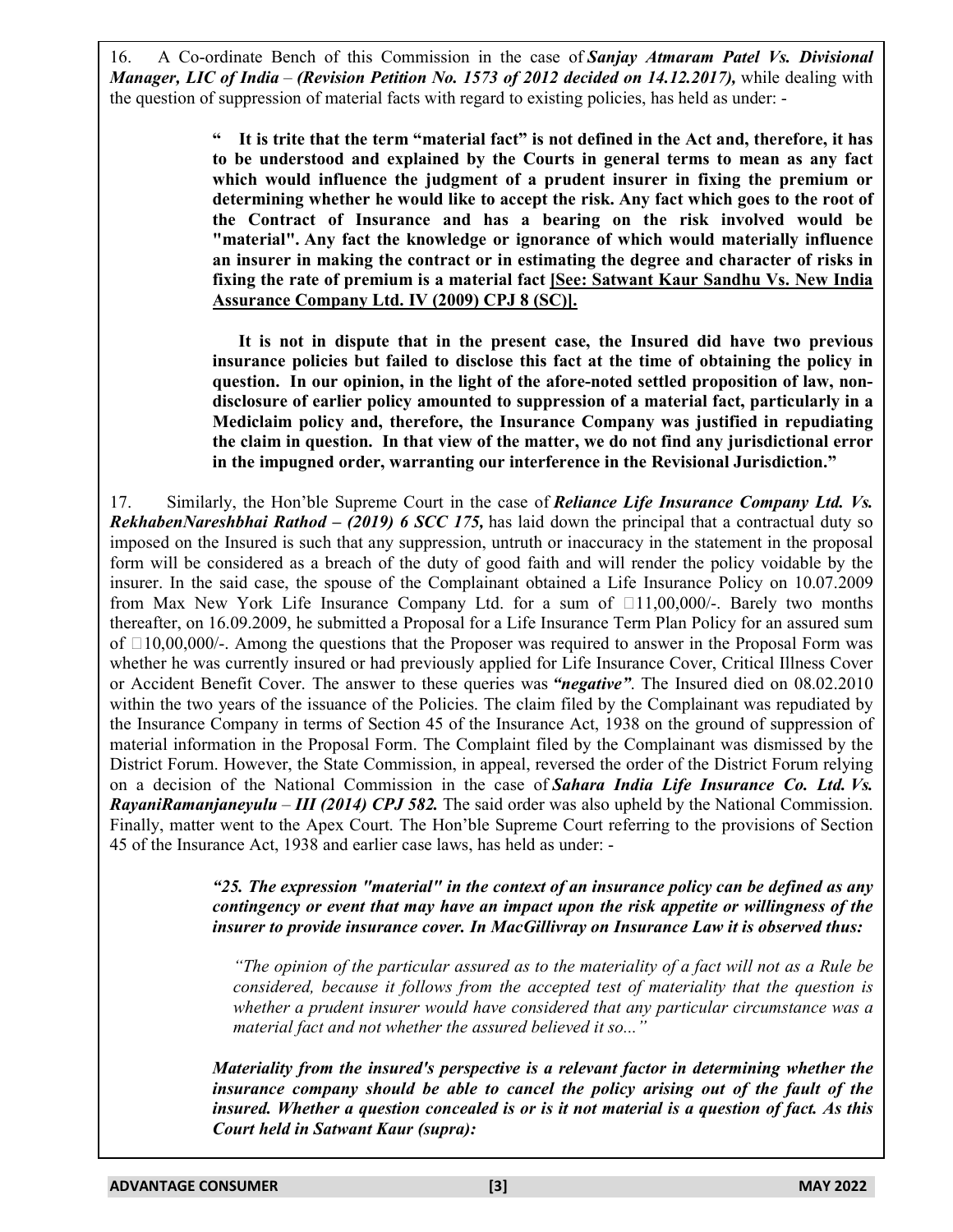16. A Co-ordinate Bench of this Commission in the case of *Sanjay Atmaram Patel Vs. Divisional Manager, LIC of India* – *(Revision Petition No. 1573 of 2012 decided on 14.12.2017),* while dealing with the question of suppression of material facts with regard to existing policies, has held as under: -

> It is trite that the term "material fact" is not defined in the Act and, therefore, it has **to be understood and explained by the Courts in general terms to mean as any fact which would influence the judgment of a prudent insurer in fixing the premium or determining whether he would like to accept the risk. Any fact which goes to the root of the Contract of Insurance and has a bearing on the risk involved would be "material". Any fact the knowledge or ignorance of which would materially influence an insurer in making the contract or in estimating the degree and character of risks in fixing the rate of premium is a material fact [See: Satwant Kaur Sandhu Vs. New India Assurance Company Ltd. IV (2009) CPJ 8 (SC)].**

> **It is not in dispute that in the present case, the Insured did have two previous insurance policies but failed to disclose this fact at the time of obtaining the policy in question. In our opinion, in the light of the afore-noted settled proposition of law, nondisclosure of earlier policy amounted to suppression of a material fact, particularly in a Mediclaim policy and, therefore, the Insurance Company was justified in repudiating the claim in question. In that view of the matter, we do not find any jurisdictional error in the impugned order, warranting our interference in the Revisional Jurisdiction."**

17. Similarly, the Hon'ble Supreme Court in the case of *Reliance Life Insurance Company Ltd. Vs. RekhabenNareshbhai Rathod – (2019) 6 SCC 175*, has laid down the principal that a contractual duty so imposed on the Insured is such that any suppression, untruth or inaccuracy in the statement in the proposal form will be considered as a breach of the duty of good faith and will render the policy voidable by the insurer. In the said case, the spouse of the Complainant obtained a Life Insurance Policy on 10.07.2009 from Max New York Life Insurance Company Ltd. for a sum of B11,00,000/-. Barely two months thereafter, on 16.09.2009, he submitted a Proposal for a Life Insurance Term Plan Policy for an assured sum of B10,00,000/-. Among the questions that the Proposer was required to answer in the Proposal Form was whether he was currently insured or had previously applied for Life Insurance Cover, Critical Illness Cover or Accident Benefit Cover. The answer to these queries was *"negative"*. The Insured died on 08.02.2010 within the two years of the issuance of the Policies. The claim filed by the Complainant was repudiated by the Insurance Company in terms of Section 45 of the Insurance Act, 1938 on the ground of suppression of material information in the Proposal Form. The Complaint filed by the Complainant was dismissed by the District Forum. However, the State Commission, in appeal, reversed the order of the District Forum relying on a decision of the National Commission in the case of *Sahara India Life Insurance Co. Ltd. Vs. RayaniRamanjaneyulu* – *III (2014) CPJ 582.* The said order was also upheld by the National Commission. Finally, matter went to the Apex Court. The Hon'ble Supreme Court referring to the provisions of Section 45 of the Insurance Act, 1938 and earlier case laws, has held as under: -

> *"25. The expression "material" in the context of an insurance policy can be defined as any contingency or event that may have an impact upon the risk appetite or willingness of the insurer to provide insurance cover. In MacGillivray on Insurance Law it is observed thus:*

*"The opinion of the particular assured as to the materiality of a fact will not as a Rule be considered, because it follows from the accepted test of materiality that the question is whether a prudent insurer would have considered that any particular circumstance was a material fact and not whether the assured believed it so..."*

*Materiality from the insured's perspective is a relevant factor in determining whether the insurance company should be able to cancel the policy arising out of the fault of the insured. Whether a question concealed is or is it not material is a question of fact. As this Court held in Satwant Kaur (supra):*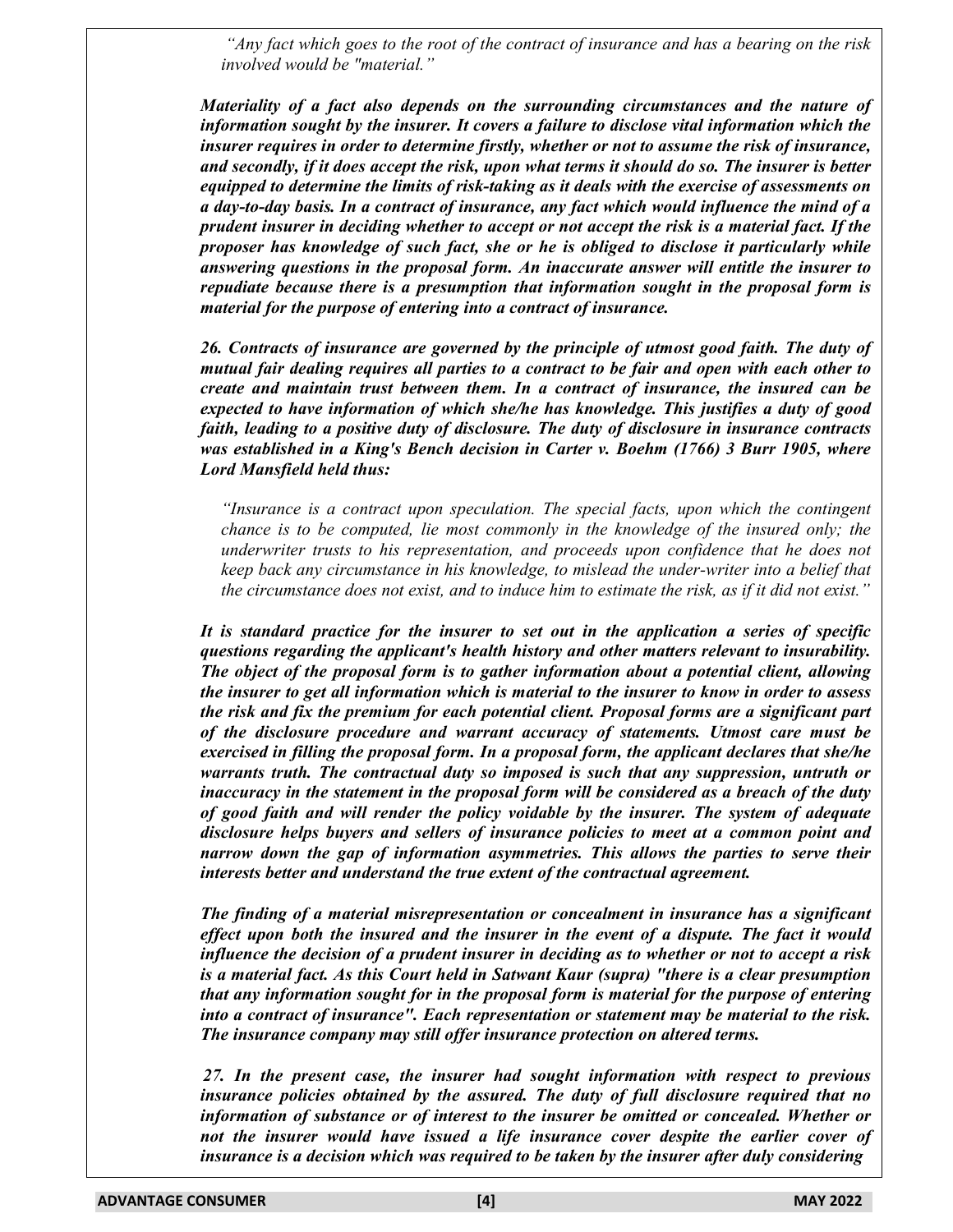*"Any fact which goes to the root of the contract of insurance and has a bearing on the risk involved would be "material."*

*Materiality of a fact also depends on the surrounding circumstances and the nature of information sought by the insurer. It covers a failure to disclose vital information which the insurer requires in order to determine firstly, whether or not to assume the risk of insurance, and secondly, if it does accept the risk, upon what terms it should do so. The insurer is better equipped to determine the limits of risk-taking as it deals with the exercise of assessments on a day-to-day basis. In a contract of insurance, any fact which would influence the mind of a prudent insurer in deciding whether to accept or not accept the risk is a material fact. If the proposer has knowledge of such fact, she or he is obliged to disclose it particularly while answering questions in the proposal form. An inaccurate answer will entitle the insurer to repudiate because there is a presumption that information sought in the proposal form is material for the purpose of entering into a contract of insurance.*

*26. Contracts of insurance are governed by the principle of utmost good faith. The duty of mutual fair dealing requires all parties to a contract to be fair and open with each other to create and maintain trust between them. In a contract of insurance, the insured can be expected to have information of which she/he has knowledge. This justifies a duty of good faith, leading to a positive duty of disclosure. The duty of disclosure in insurance contracts was established in a King's Bench decision in Carter v. Boehm (1766) 3 Burr 1905, where Lord Mansfield held thus:*

*"Insurance is a contract upon speculation. The special facts, upon which the contingent chance is to be computed, lie most commonly in the knowledge of the insured only; the underwriter trusts to his representation, and proceeds upon confidence that he does not keep back any circumstance in his knowledge, to mislead the under-writer into a belief that the circumstance does not exist, and to induce him to estimate the risk, as if it did not exist."*

*It is standard practice for the insurer to set out in the application a series of specific questions regarding the applicant's health history and other matters relevant to insurability. The object of the proposal form is to gather information about a potential client, allowing the insurer to get all information which is material to the insurer to know in order to assess the risk and fix the premium for each potential client. Proposal forms are a significant part of the disclosure procedure and warrant accuracy of statements. Utmost care must be exercised in filling the proposal form. In a proposal form, the applicant declares that she/he warrants truth. The contractual duty so imposed is such that any suppression, untruth or inaccuracy in the statement in the proposal form will be considered as a breach of the duty of good faith and will render the policy voidable by the insurer. The system of adequate disclosure helps buyers and sellers of insurance policies to meet at a common point and narrow down the gap of information asymmetries. This allows the parties to serve their interests better and understand the true extent of the contractual agreement.*

*The finding of a material misrepresentation or concealment in insurance has a significant effect upon both the insured and the insurer in the event of a dispute. The fact it would influence the decision of a prudent insurer in deciding as to whether or not to accept a risk is a material fact. As this Court held in Satwant Kaur (supra) "there is a clear presumption that any information sought for in the proposal form is material for the purpose of entering into a contract of insurance". Each representation or statement may be material to the risk. The insurance company may still offer insurance protection on altered terms.*

*27. In the present case, the insurer had sought information with respect to previous insurance policies obtained by the assured. The duty of full disclosure required that no information of substance or of interest to the insurer be omitted or concealed. Whether or not the insurer would have issued a life insurance cover despite the earlier cover of insurance is a decision which was required to be taken by the insurer after duly considering*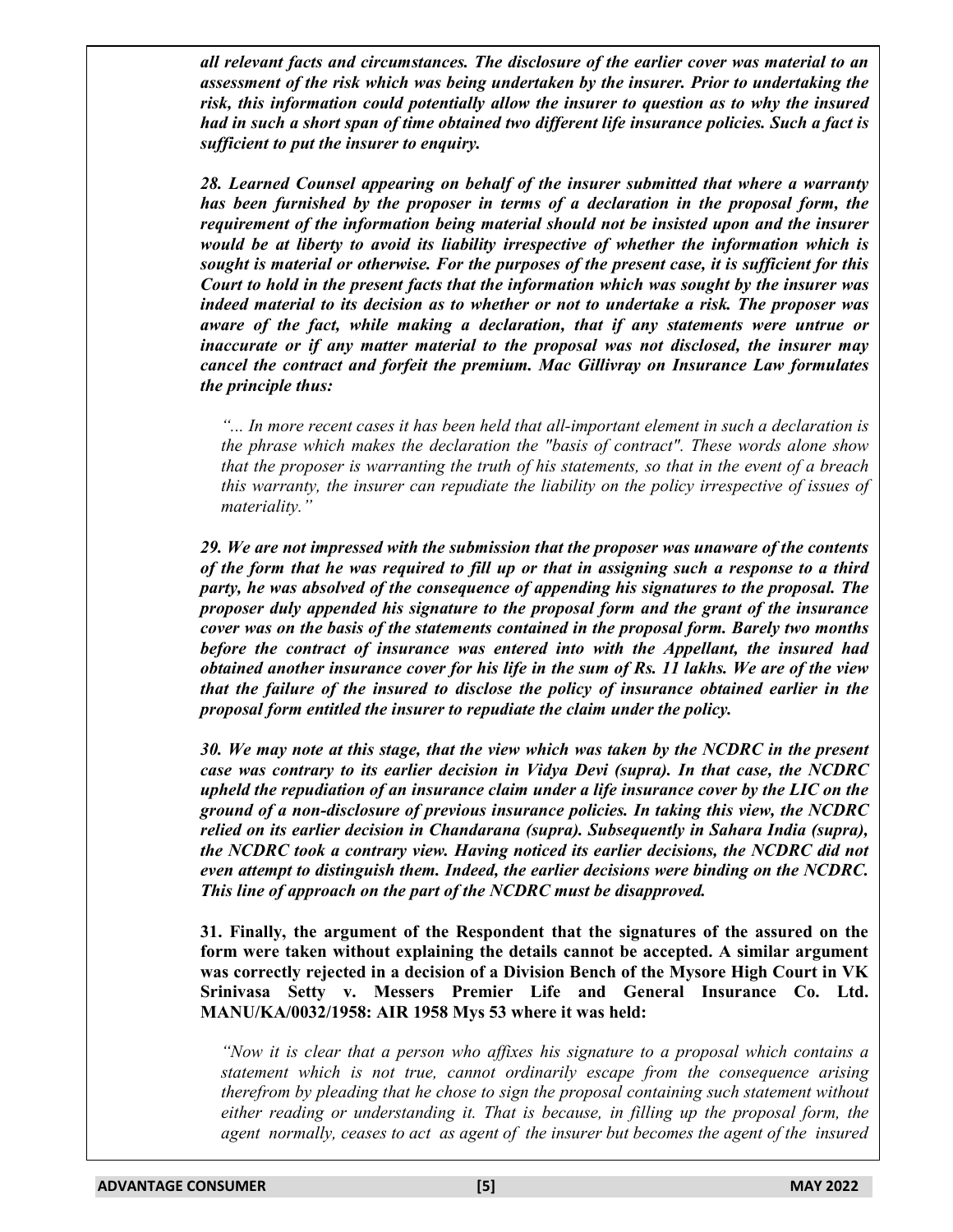*all relevant facts and circumstances. The disclosure of the earlier cover was material to an assessment of the risk which was being undertaken by the insurer. Prior to undertaking the risk, this information could potentially allow the insurer to question as to why the insured had in such a short span of time obtained two different life insurance policies. Such a fact is sufficient to put the insurer to enquiry.*

*28. Learned Counsel appearing on behalf of the insurer submitted that where a warranty has been furnished by the proposer in terms of a declaration in the proposal form, the requirement of the information being material should not be insisted upon and the insurer would be at liberty to avoid its liability irrespective of whether the information which is sought is material or otherwise. For the purposes of the present case, it is sufficient for this Court to hold in the present facts that the information which was sought by the insurer was indeed material to its decision as to whether or not to undertake a risk. The proposer was aware of the fact, while making a declaration, that if any statements were untrue or inaccurate or if any matter material to the proposal was not disclosed, the insurer may cancel the contract and forfeit the premium. Mac Gillivray on Insurance Law formulates the principle thus:*

*"... In more recent cases it has been held that all-important element in such a declaration is the phrase which makes the declaration the "basis of contract". These words alone show that the proposer is warranting the truth of his statements, so that in the event of a breach this warranty, the insurer can repudiate the liability on the policy irrespective of issues of materiality."*

*29. We are not impressed with the submission that the proposer was unaware of the contents of the form that he was required to fill up or that in assigning such a response to a third party, he was absolved of the consequence of appending his signatures to the proposal. The proposer duly appended his signature to the proposal form and the grant of the insurance cover was on the basis of the statements contained in the proposal form. Barely two months before the contract of insurance was entered into with the Appellant, the insured had obtained another insurance cover for his life in the sum of Rs. 11 lakhs. We are of the view that the failure of the insured to disclose the policy of insurance obtained earlier in the proposal form entitled the insurer to repudiate the claim under the policy.*

*30. We may note at this stage, that the view which was taken by the NCDRC in the present case was contrary to its earlier decision in Vidya Devi (supra). In that case, the NCDRC upheld the repudiation of an insurance claim under a life insurance cover by the LIC on the ground of a non-disclosure of previous insurance policies. In taking this view, the NCDRC relied on its earlier decision in Chandarana (supra). Subsequently in Sahara India (supra), the NCDRC took a contrary view. Having noticed its earlier decisions, the NCDRC did not even attempt to distinguish them. Indeed, the earlier decisions were binding on the NCDRC. This line of approach on the part of the NCDRC must be disapproved.*

**31. Finally, the argument of the Respondent that the signatures of the assured on the form were taken without explaining the details cannot be accepted. A similar argument was correctly rejected in a decision of a Division Bench of the Mysore High Court in VK Srinivasa Setty v. Messers Premier Life and General Insurance Co. Ltd. MANU/KA/0032/1958: AIR 1958 Mys 53 where it was held:**

*"Now it is clear that a person who affixes his signature to a proposal which contains a statement which is not true, cannot ordinarily escape from the consequence arising therefrom by pleading that he chose to sign the proposal containing such statement without either reading or understanding it. That is because, in filling up the proposal form, the agent normally, ceases to act as agent of the insurer but becomes the agent of the insured*